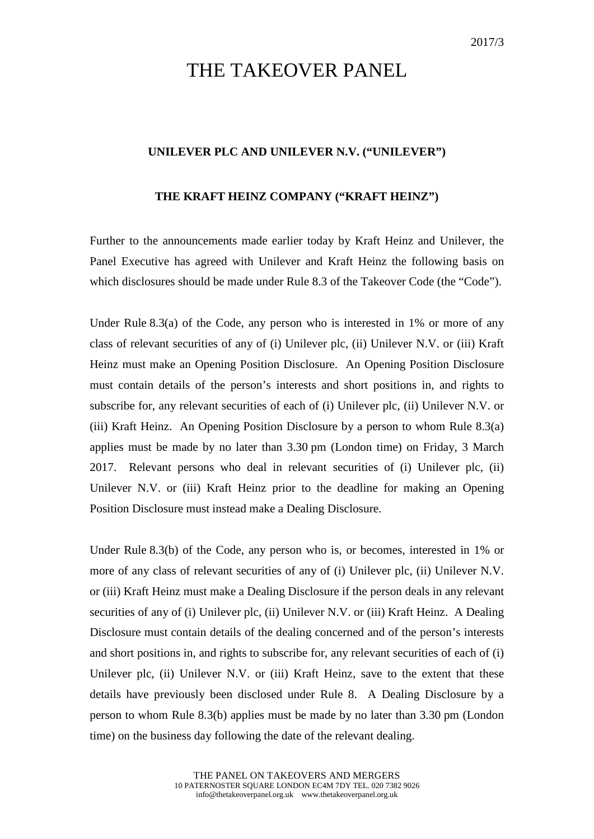## THE TAKEOVER PANEL

## **UNILEVER PLC AND UNILEVER N.V. ("UNILEVER")**

## **THE KRAFT HEINZ COMPANY ("KRAFT HEINZ")**

Further to the announcements made earlier today by Kraft Heinz and Unilever, the Panel Executive has agreed with Unilever and Kraft Heinz the following basis on which disclosures should be made under Rule 8.3 of the Takeover Code (the "Code").

Under Rule 8.3(a) of the Code, any person who is interested in 1% or more of any class of relevant securities of any of (i) Unilever plc, (ii) Unilever N.V. or (iii) Kraft Heinz must make an Opening Position Disclosure. An Opening Position Disclosure must contain details of the person's interests and short positions in, and rights to subscribe for, any relevant securities of each of (i) Unilever plc, (ii) Unilever N.V. or (iii) Kraft Heinz. An Opening Position Disclosure by a person to whom Rule 8.3(a) applies must be made by no later than 3.30 pm (London time) on Friday, 3 March 2017. Relevant persons who deal in relevant securities of (i) Unilever plc, (ii) Unilever N.V. or (iii) Kraft Heinz prior to the deadline for making an Opening Position Disclosure must instead make a Dealing Disclosure.

Under Rule 8.3(b) of the Code, any person who is, or becomes, interested in 1% or more of any class of relevant securities of any of (i) Unilever plc, (ii) Unilever N.V. or (iii) Kraft Heinz must make a Dealing Disclosure if the person deals in any relevant securities of any of (i) Unilever plc, (ii) Unilever N.V. or (iii) Kraft Heinz. A Dealing Disclosure must contain details of the dealing concerned and of the person's interests and short positions in, and rights to subscribe for, any relevant securities of each of (i) Unilever plc, (ii) Unilever N.V. or (iii) Kraft Heinz, save to the extent that these details have previously been disclosed under Rule 8. A Dealing Disclosure by a person to whom Rule 8.3(b) applies must be made by no later than 3.30 pm (London time) on the business day following the date of the relevant dealing.